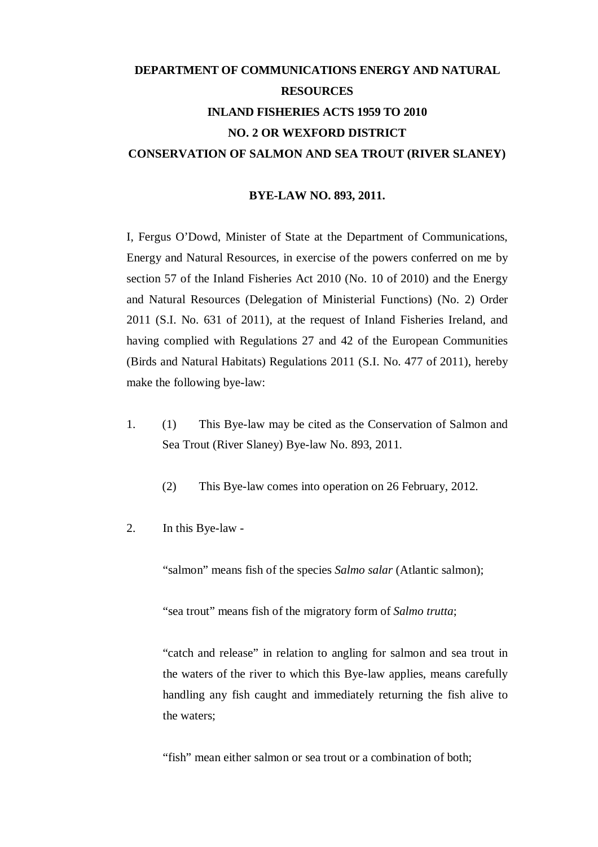## **DEPARTMENT OF COMMUNICATIONS ENERGY AND NATURAL RESOURCES INLAND FISHERIES ACTS 1959 TO 2010 NO. 2 OR WEXFORD DISTRICT CONSERVATION OF SALMON AND SEA TROUT (RIVER SLANEY)**

## **BYE-LAW NO. 893, 2011.**

I, Fergus O'Dowd, Minister of State at the Department of Communications, Energy and Natural Resources, in exercise of the powers conferred on me by section 57 of the Inland Fisheries Act 2010 (No. 10 of 2010) and the Energy and Natural Resources (Delegation of Ministerial Functions) (No. 2) Order 2011 (S.I. No. 631 of 2011), at the request of Inland Fisheries Ireland, and having complied with Regulations 27 and 42 of the European Communities (Birds and Natural Habitats) Regulations 2011 (S.I. No. 477 of 2011), hereby make the following bye-law:

- 1. (1) This Bye-law may be cited as the Conservation of Salmon and Sea Trout (River Slaney) Bye-law No. 893, 2011.
	- (2) This Bye-law comes into operation on 26 February, 2012.
- 2. In this Bye-law -

"salmon" means fish of the species *Salmo salar* (Atlantic salmon);

"sea trout" means fish of the migratory form of *Salmo trutta*;

"catch and release" in relation to angling for salmon and sea trout in the waters of the river to which this Bye-law applies, means carefully handling any fish caught and immediately returning the fish alive to the waters;

"fish" mean either salmon or sea trout or a combination of both;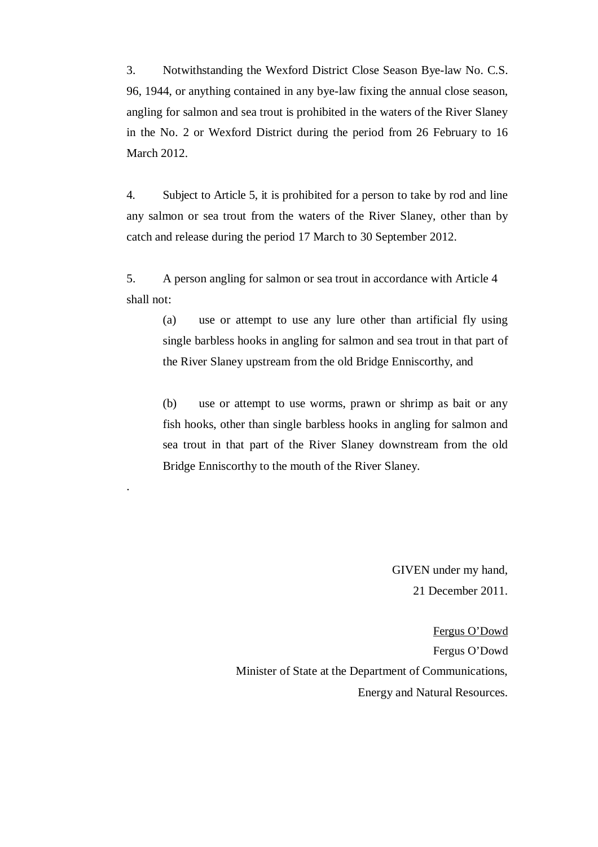3. Notwithstanding the Wexford District Close Season Bye-law No. C.S. 96, 1944, or anything contained in any bye-law fixing the annual close season, angling for salmon and sea trout is prohibited in the waters of the River Slaney in the No. 2 or Wexford District during the period from 26 February to 16 March 2012.

4. Subject to Article 5, it is prohibited for a person to take by rod and line any salmon or sea trout from the waters of the River Slaney, other than by catch and release during the period 17 March to 30 September 2012.

5. A person angling for salmon or sea trout in accordance with Article 4 shall not:

 (a) use or attempt to use any lure other than artificial fly using single barbless hooks in angling for salmon and sea trout in that part of the River Slaney upstream from the old Bridge Enniscorthy, and

 (b) use or attempt to use worms, prawn or shrimp as bait or any fish hooks, other than single barbless hooks in angling for salmon and sea trout in that part of the River Slaney downstream from the old Bridge Enniscorthy to the mouth of the River Slaney.

.

GIVEN under my hand, 21 December 2011.

Fergus O'Dowd Fergus O'Dowd Minister of State at the Department of Communications, Energy and Natural Resources.